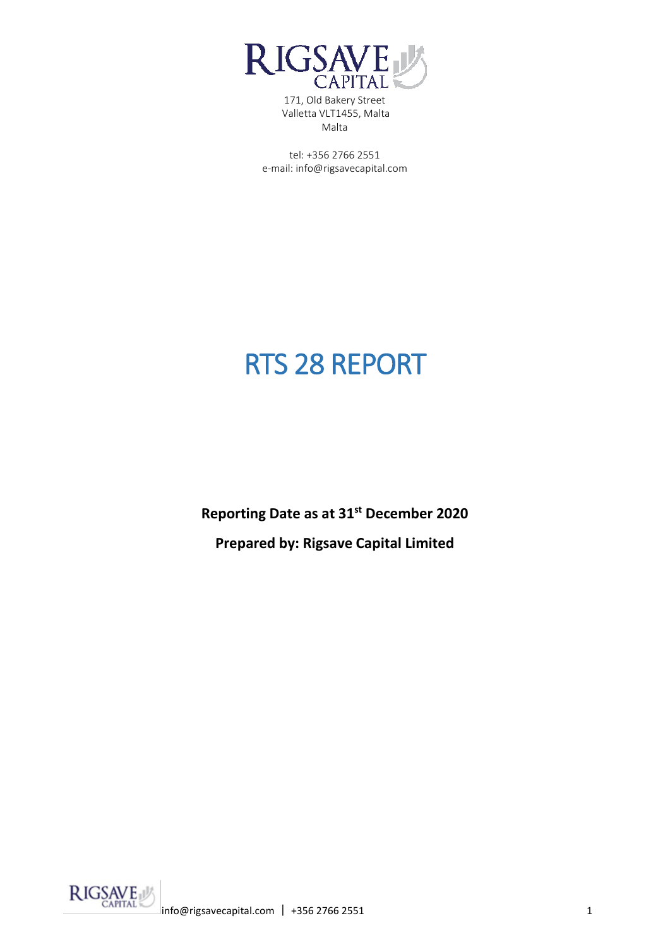

tel: +356 2766 2551 e-mail: info@rigsavecapital.com

# RTS 28 REPORT

**Reporting Date as at 31st December 2020**

**Prepared by: Rigsave Capital Limited**

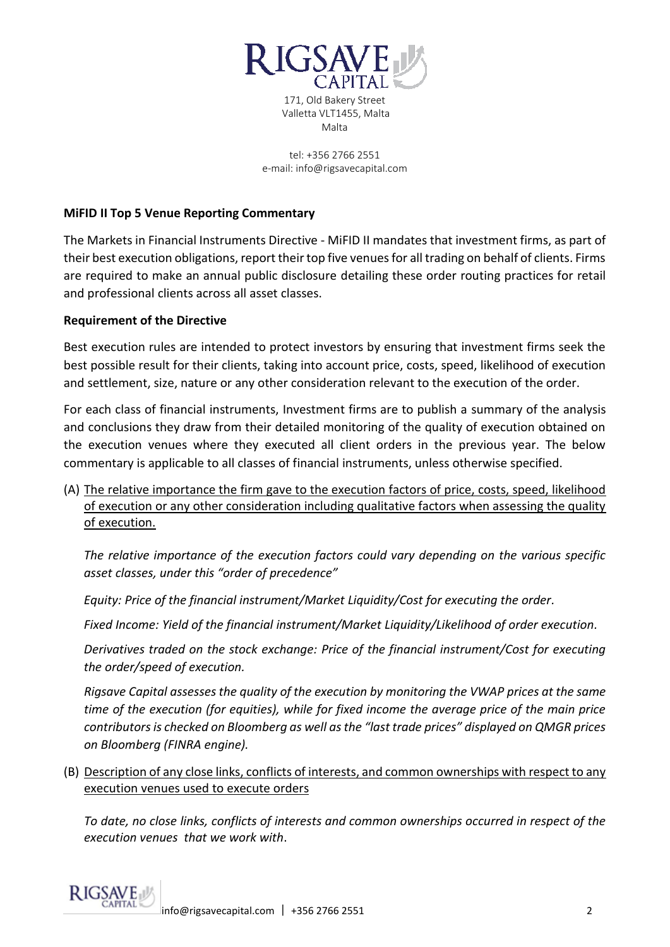

171, Old Bakery Street Valletta VLT1455, Malta Malta

tel: +356 2766 2551 e-mail: info@rigsavecapital.com

## **MiFID II Top 5 Venue Reporting Commentary**

The Markets in Financial Instruments Directive - MiFID II mandates that investment firms, as part of their best execution obligations, report their top five venues for all trading on behalf of clients. Firms are required to make an annual public disclosure detailing these order routing practices for retail and professional clients across all asset classes.

### **Requirement of the Directive**

Best execution rules are intended to protect investors by ensuring that investment firms seek the best possible result for their clients, taking into account price, costs, speed, likelihood of execution and settlement, size, nature or any other consideration relevant to the execution of the order.

For each class of financial instruments, Investment firms are to publish a summary of the analysis and conclusions they draw from their detailed monitoring of the quality of execution obtained on the execution venues where they executed all client orders in the previous year. The below commentary is applicable to all classes of financial instruments, unless otherwise specified.

(A) The relative importance the firm gave to the execution factors of price, costs, speed, likelihood of execution or any other consideration including qualitative factors when assessing the quality of execution.

*The relative importance of the execution factors could vary depending on the various specific asset classes, under this "order of precedence"*

*Equity: Price of the financial instrument/Market Liquidity/Cost for executing the order.*

*Fixed Income: Yield of the financial instrument/Market Liquidity/Likelihood of order execution.*

*Derivatives traded on the stock exchange: Price of the financial instrument/Cost for executing the order/speed of execution.*

*Rigsave Capital assesses the quality of the execution by monitoring the VWAP prices at the same time of the execution (for equities), while for fixed income the average price of the main price contributors is checked on Bloomberg as well as the "last trade prices" displayed on QMGR prices on Bloomberg (FINRA engine).*

(B) Description of any close links, conflicts of interests, and common ownerships with respect to any execution venues used to execute orders

*To date, no close links, conflicts of interests and common ownerships occurred in respect of the execution venues that we work with*.

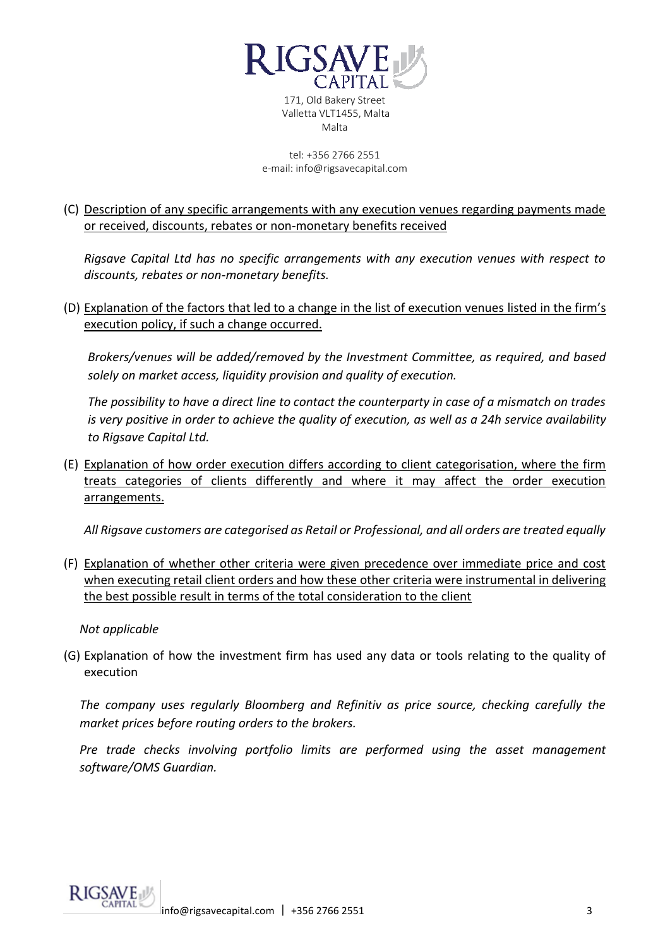

171, Old Bakery Street Valletta VLT1455, Malta Malta

tel: +356 2766 2551 e-mail: info@rigsavecapital.com

## (C) Description of any specific arrangements with any execution venues regarding payments made or received, discounts, rebates or non-monetary benefits received

*Rigsave Capital Ltd has no specific arrangements with any execution venues with respect to discounts, rebates or non-monetary benefits.*

(D) Explanation of the factors that led to a change in the list of execution venues listed in the firm's execution policy, if such a change occurred.

*Brokers/venues will be added/removed by the Investment Committee, as required, and based solely on market access, liquidity provision and quality of execution.* 

*The possibility to have a direct line to contact the counterparty in case of a mismatch on trades is very positive in order to achieve the quality of execution, as well as a 24h service availability to Rigsave Capital Ltd.*

(E) Explanation of how order execution differs according to client categorisation, where the firm treats categories of clients differently and where it may affect the order execution arrangements.

*All Rigsave customers are categorised as Retail or Professional, and all orders are treated equally*

(F) Explanation of whether other criteria were given precedence over immediate price and cost when executing retail client orders and how these other criteria were instrumental in delivering the best possible result in terms of the total consideration to the client

*Not applicable*

(G) Explanation of how the investment firm has used any data or tools relating to the quality of execution

*The company uses regularly Bloomberg and Refinitiv as price source, checking carefully the market prices before routing orders to the brokers.* 

*Pre trade checks involving portfolio limits are performed using the asset management software/OMS Guardian.*

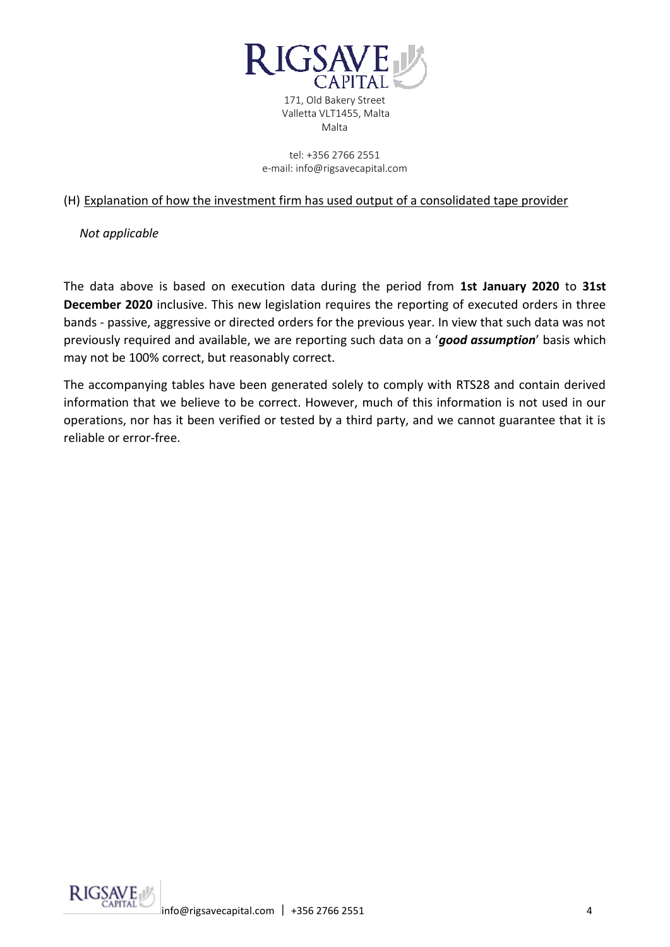

171, Old Bakery Street Valletta VLT1455, Malta Malta

tel: +356 2766 2551 e-mail: info@rigsavecapital.com

### (H) Explanation of how the investment firm has used output of a consolidated tape provider

*Not applicable*

The data above is based on execution data during the period from **1st January 2020** to **31st December 2020** inclusive. This new legislation requires the reporting of executed orders in three bands - passive, aggressive or directed orders for the previous year. In view that such data was not previously required and available, we are reporting such data on a '*good assumption*' basis which may not be 100% correct, but reasonably correct.

The accompanying tables have been generated solely to comply with RTS28 and contain derived information that we believe to be correct. However, much of this information is not used in our operations, nor has it been verified or tested by a third party, and we cannot guarantee that it is reliable or error-free.

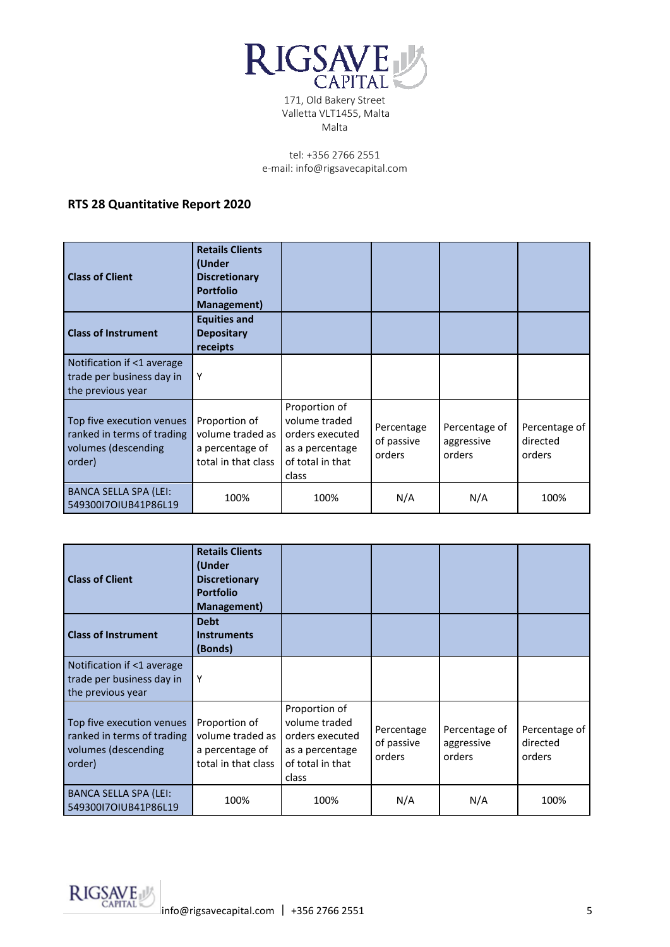

tel: +356 2766 2551 e-mail: info@rigsavecapital.com

## **RTS 28 Quantitative Report 2020**

| <b>Class of Client</b>                                                                   | <b>Retails Clients</b><br>(Under<br><b>Discretionary</b><br><b>Portfolio</b><br>Management) |                                                                                                   |                                    |                                       |                                     |
|------------------------------------------------------------------------------------------|---------------------------------------------------------------------------------------------|---------------------------------------------------------------------------------------------------|------------------------------------|---------------------------------------|-------------------------------------|
| <b>Class of Instrument</b>                                                               | <b>Equities and</b><br><b>Depositary</b><br>receipts                                        |                                                                                                   |                                    |                                       |                                     |
| Notification if <1 average<br>trade per business day in<br>the previous year             | Υ                                                                                           |                                                                                                   |                                    |                                       |                                     |
| Top five execution venues<br>ranked in terms of trading<br>volumes (descending<br>order) | Proportion of<br>volume traded as I<br>a percentage of<br>total in that class               | Proportion of<br>volume traded<br>orders executed<br>as a percentage<br>of total in that<br>class | Percentage<br>of passive<br>orders | Percentage of<br>aggressive<br>orders | Percentage of<br>directed<br>orders |
| <b>BANCA SELLA SPA (LEI:</b><br>54930017OIUB41P86L19                                     | 100%                                                                                        | 100%                                                                                              | N/A                                | N/A                                   | 100%                                |

| <b>Class of Client</b>                                                                   | <b>Retails Clients</b><br>(Under<br><b>Discretionary</b><br><b>Portfolio</b><br>Management) |                                                                                                   |                                    |                                       |                                     |
|------------------------------------------------------------------------------------------|---------------------------------------------------------------------------------------------|---------------------------------------------------------------------------------------------------|------------------------------------|---------------------------------------|-------------------------------------|
| <b>Class of Instrument</b>                                                               | <b>Debt</b><br><b>Instruments</b><br>(Bonds)                                                |                                                                                                   |                                    |                                       |                                     |
| Notification if <1 average<br>trade per business day in<br>the previous year             | Υ                                                                                           |                                                                                                   |                                    |                                       |                                     |
| Top five execution venues<br>ranked in terms of trading<br>volumes (descending<br>order) | Proportion of<br>volume traded as I<br>a percentage of<br>total in that class               | Proportion of<br>volume traded<br>orders executed<br>as a percentage<br>of total in that<br>class | Percentage<br>of passive<br>orders | Percentage of<br>aggressive<br>orders | Percentage of<br>directed<br>orders |
| <b>BANCA SELLA SPA (LEI:</b><br>54930017OIUB41P86L19                                     | 100%                                                                                        | 100%                                                                                              | N/A                                | N/A                                   | 100%                                |

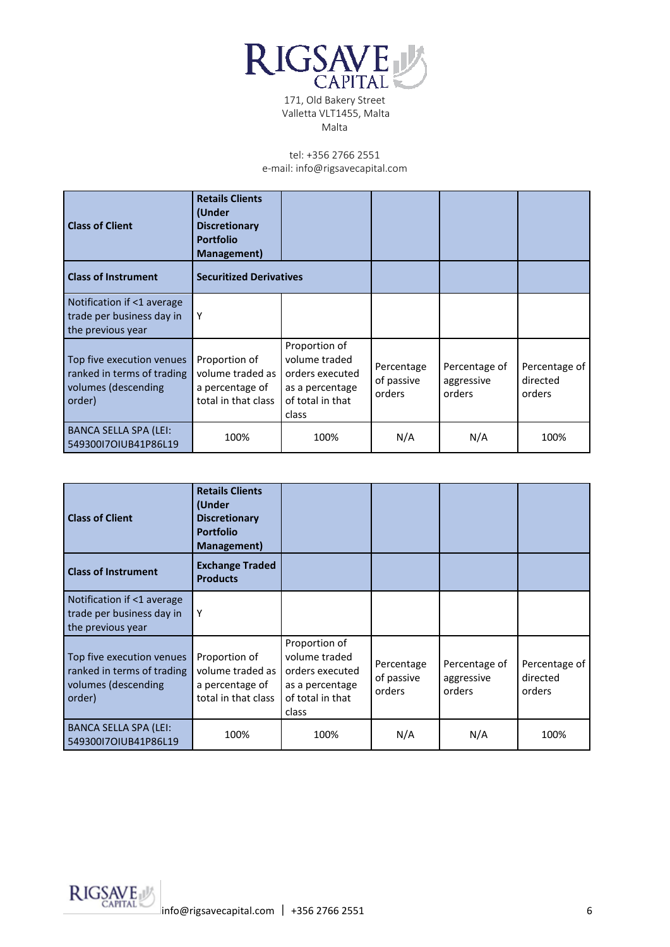

| <b>Class of Client</b>                                                                   | <b>Retails Clients</b><br>(Under<br><b>Discretionary</b><br><b>Portfolio</b><br>Management) |                                                                                                   |                                    |                                       |                                     |
|------------------------------------------------------------------------------------------|---------------------------------------------------------------------------------------------|---------------------------------------------------------------------------------------------------|------------------------------------|---------------------------------------|-------------------------------------|
| <b>Class of Instrument</b>                                                               | <b>Securitized Derivatives</b>                                                              |                                                                                                   |                                    |                                       |                                     |
| Notification if <1 average<br>trade per business day in<br>the previous year             | Υ                                                                                           |                                                                                                   |                                    |                                       |                                     |
| Top five execution venues<br>ranked in terms of trading<br>volumes (descending<br>order) | Proportion of<br>volume traded as I<br>a percentage of<br>total in that class               | Proportion of<br>volume traded<br>orders executed<br>as a percentage<br>of total in that<br>class | Percentage<br>of passive<br>orders | Percentage of<br>aggressive<br>orders | Percentage of<br>directed<br>orders |
| <b>BANCA SELLA SPA (LEI:</b><br>54930017OIUB41P86L19                                     | 100%                                                                                        | 100%                                                                                              | N/A                                | N/A                                   | 100%                                |

| <b>Class of Client</b>                                                                   | <b>Retails Clients</b><br>(Under<br><b>Discretionary</b><br><b>Portfolio</b><br>Management) |                                                                                                   |                                    |                                       |                                     |
|------------------------------------------------------------------------------------------|---------------------------------------------------------------------------------------------|---------------------------------------------------------------------------------------------------|------------------------------------|---------------------------------------|-------------------------------------|
| <b>Class of Instrument</b>                                                               | <b>Exchange Traded</b><br><b>Products</b>                                                   |                                                                                                   |                                    |                                       |                                     |
| Notification if <1 average<br>trade per business day in<br>the previous year             | Υ                                                                                           |                                                                                                   |                                    |                                       |                                     |
| Top five execution venues<br>ranked in terms of trading<br>volumes (descending<br>order) | Proportion of<br>volume traded as<br>a percentage of<br>total in that class                 | Proportion of<br>volume traded<br>orders executed<br>as a percentage<br>of total in that<br>class | Percentage<br>of passive<br>orders | Percentage of<br>aggressive<br>orders | Percentage of<br>directed<br>orders |
| <b>BANCA SELLA SPA (LEI:</b><br>54930017OIUB41P86L19                                     | 100%                                                                                        | 100%                                                                                              | N/A                                | N/A                                   | 100%                                |

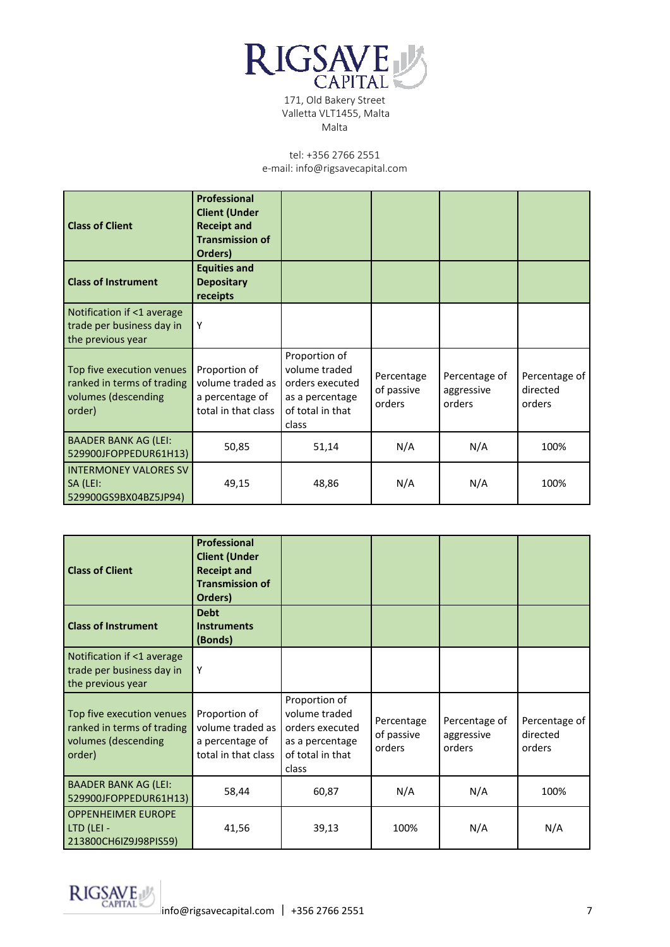

| <b>Class of Client</b><br><b>Class of Instrument</b>                                     | <b>Professional</b><br><b>Client (Under</b><br><b>Receipt and</b><br><b>Transmission of</b><br>Orders)<br><b>Equities and</b><br><b>Depositary</b><br>receipts |                                                                                                   |                                    |                                       |                                     |
|------------------------------------------------------------------------------------------|----------------------------------------------------------------------------------------------------------------------------------------------------------------|---------------------------------------------------------------------------------------------------|------------------------------------|---------------------------------------|-------------------------------------|
| Notification if <1 average<br>trade per business day in<br>the previous year             | Υ                                                                                                                                                              |                                                                                                   |                                    |                                       |                                     |
| Top five execution venues<br>ranked in terms of trading<br>volumes (descending<br>order) | Proportion of<br>volume traded as<br>a percentage of<br>total in that class                                                                                    | Proportion of<br>volume traded<br>orders executed<br>as a percentage<br>of total in that<br>class | Percentage<br>of passive<br>orders | Percentage of<br>aggressive<br>orders | Percentage of<br>directed<br>orders |
| <b>BAADER BANK AG (LEI:</b><br>529900JFOPPEDUR61H13)                                     | 50,85                                                                                                                                                          | 51,14                                                                                             | N/A                                | N/A                                   | 100%                                |
| <b>INTERMONEY VALORES SV</b><br>SA (LEI:<br>529900GS9BX04BZ5JP94)                        | 49,15                                                                                                                                                          | 48,86                                                                                             | N/A                                | N/A                                   | 100%                                |

| <b>Class of Client</b>                                                                   | <b>Professional</b><br><b>Client (Under</b><br><b>Receipt and</b><br><b>Transmission of</b><br>Orders) |                                                                                                   |                                    |                                       |                                     |
|------------------------------------------------------------------------------------------|--------------------------------------------------------------------------------------------------------|---------------------------------------------------------------------------------------------------|------------------------------------|---------------------------------------|-------------------------------------|
| <b>Class of Instrument</b>                                                               | <b>Debt</b><br><b>Instruments</b><br>(Bonds)                                                           |                                                                                                   |                                    |                                       |                                     |
| Notification if <1 average<br>trade per business day in<br>the previous year             | Υ                                                                                                      |                                                                                                   |                                    |                                       |                                     |
| Top five execution venues<br>ranked in terms of trading<br>volumes (descending<br>order) | Proportion of<br>volume traded as<br>a percentage of<br>total in that class                            | Proportion of<br>volume traded<br>orders executed<br>as a percentage<br>of total in that<br>class | Percentage<br>of passive<br>orders | Percentage of<br>aggressive<br>orders | Percentage of<br>directed<br>orders |
| <b>BAADER BANK AG (LEI:</b><br>529900JFOPPEDUR61H13)                                     | 58,44                                                                                                  | 60,87                                                                                             | N/A                                | N/A                                   | 100%                                |
| <b>OPPENHEIMER EUROPE</b><br>LTD (LEI -<br>213800CH6IZ9J98PIS59)                         | 41,56                                                                                                  | 39,13                                                                                             | 100%                               | N/A                                   | N/A                                 |

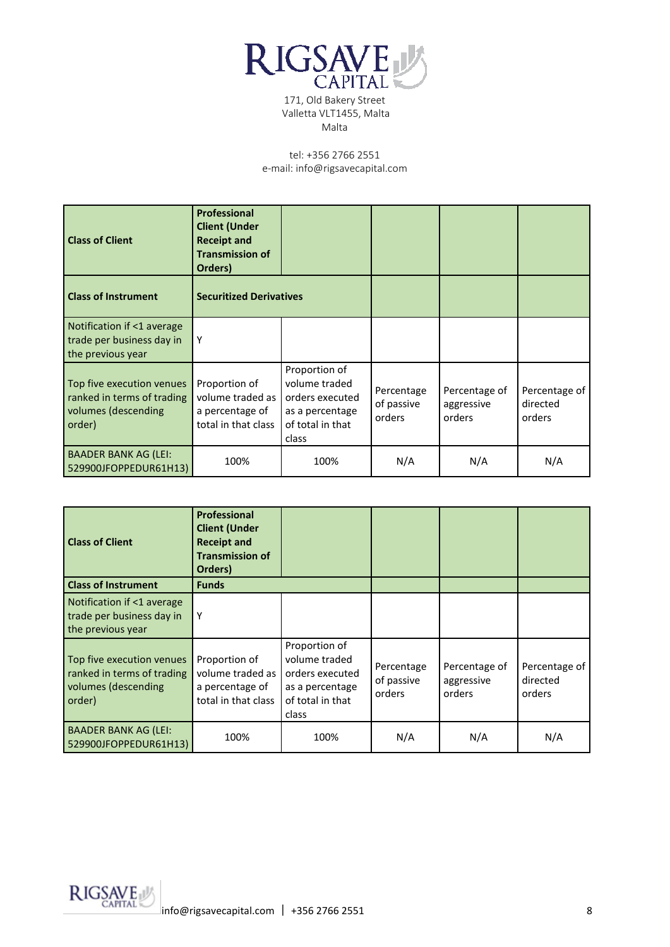

| <b>Class of Client</b>                                                                   | <b>Professional</b><br><b>Client (Under</b><br><b>Receipt and</b><br><b>Transmission of</b><br>Orders) |                                                                                                   |                                    |                                       |                                     |
|------------------------------------------------------------------------------------------|--------------------------------------------------------------------------------------------------------|---------------------------------------------------------------------------------------------------|------------------------------------|---------------------------------------|-------------------------------------|
| <b>Class of Instrument</b>                                                               | <b>Securitized Derivatives</b>                                                                         |                                                                                                   |                                    |                                       |                                     |
| Notification if <1 average<br>trade per business day in<br>the previous year             | Υ                                                                                                      |                                                                                                   |                                    |                                       |                                     |
| Top five execution venues<br>ranked in terms of trading<br>volumes (descending<br>order) | Proportion of<br>volume traded as<br>a percentage of<br>total in that class                            | Proportion of<br>volume traded<br>orders executed<br>as a percentage<br>of total in that<br>class | Percentage<br>of passive<br>orders | Percentage of<br>aggressive<br>orders | Percentage of<br>directed<br>orders |
| <b>BAADER BANK AG (LEI:</b><br>529900JFOPPEDUR61H13)                                     | 100%                                                                                                   | 100%                                                                                              | N/A                                | N/A                                   | N/A                                 |

| <b>Class of Client</b><br><b>Class of Instrument</b>                                     | <b>Professional</b><br><b>Client (Under</b><br><b>Receipt and</b><br><b>Transmission of</b><br>Orders)<br><b>Funds</b> |                                                                                                   |                                    |                                       |                                     |
|------------------------------------------------------------------------------------------|------------------------------------------------------------------------------------------------------------------------|---------------------------------------------------------------------------------------------------|------------------------------------|---------------------------------------|-------------------------------------|
| Notification if <1 average<br>trade per business day in<br>the previous year             | Y                                                                                                                      |                                                                                                   |                                    |                                       |                                     |
| Top five execution venues<br>ranked in terms of trading<br>volumes (descending<br>order) | Proportion of<br>volume traded as<br>a percentage of<br>total in that class                                            | Proportion of<br>volume traded<br>orders executed<br>as a percentage<br>of total in that<br>class | Percentage<br>of passive<br>orders | Percentage of<br>aggressive<br>orders | Percentage of<br>directed<br>orders |
| <b>BAADER BANK AG (LEI:</b><br>529900JFOPPEDUR61H13)                                     | 100%                                                                                                                   | 100%                                                                                              | N/A                                | N/A                                   | N/A                                 |